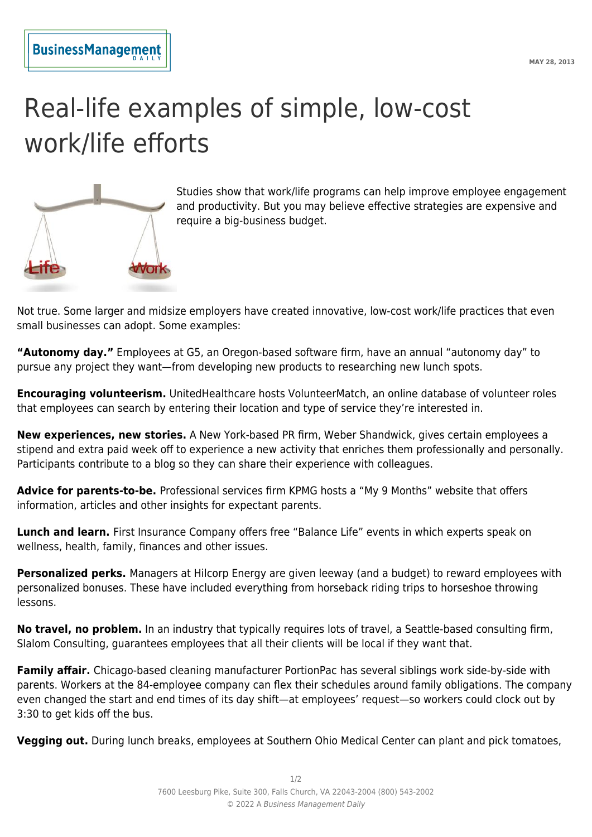## Real-life examples of simple, low-cost work/life efforts



Studies show that work/life programs can help improve employee engagement and productivity. But you may believe effective strategies are expensive and require a big-business budget.

Not true. Some larger and midsize employers have created innovative, low-cost work/life practices that even small businesses can adopt. Some examples:

**"Autonomy day."** Employees at G5, an Oregon-based software firm, have an annual "autonomy day" to pursue any project they want—from developing new products to researching new lunch spots.

**Encouraging volunteerism.** UnitedHealthcare hosts VolunteerMatch, an online database of volunteer roles that employees can search by entering their location and type of service they're interested in.

**New experiences, new stories.** A New York-based PR firm, Weber Shandwick, gives certain employees a stipend and extra paid week off to experience a new activity that enriches them professionally and personally. Participants contribute to a blog so they can share their experience with colleagues.

**Advice for parents-to-be.** Professional services firm KPMG hosts a "My 9 Months" website that offers information, articles and other insights for expectant parents.

**Lunch and learn.** First Insurance Company offers free "Balance Life" events in which experts speak on wellness, health, family, finances and other issues.

**Personalized perks.** Managers at Hilcorp Energy are given leeway (and a budget) to reward employees with personalized bonuses. These have included everything from horseback riding trips to horseshoe throwing lessons.

**No travel, no problem.** In an industry that typically requires lots of travel, a Seattle-based consulting firm, Slalom Consulting, guarantees employees that all their clients will be local if they want that.

**Family affair.** Chicago-based cleaning manufacturer PortionPac has several siblings work side-by-side with parents. Workers at the 84-employee company can flex their schedules around family obligations. The company even changed the start and end times of its day shift—at employees' request—so workers could clock out by 3:30 to get kids off the bus.

**Vegging out.** During lunch breaks, employees at Southern Ohio Medical Center can plant and pick tomatoes,